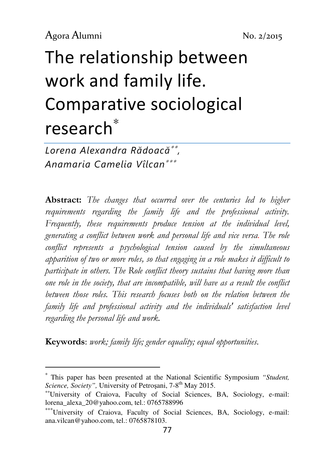$\overline{a}$ 

# The relationship between work and family life. Comparative sociological research<sup>∗</sup>

Lorena Alexandra Rădoacă∗∗ , Anamaria Camelia Vîlcan∗∗∗

Abstract: The changes that occurred over the centuries led to higher requirements regarding the family life and the professional activity. Frequently, these requirements produce tension at the individual level, generating a conflict between work and personal life and vice versa. The role conflict represents a psychological tension caused by the simultaneous apparition of two or more roles, so that engaging in a role makes it difficult to participate in others. The Role conflict theory sustains that having more than one role in the society, that are incompatible, will have as a result the conflict between those roles. This research focuses both on the relation between the family life and professional activity and the individuals' satisfaction level regarding the personal life and work.

Keywords: work; family life; gender equality; equal opportunities.

<sup>∗</sup> This paper has been presented at the National Scientific Symposium *"Student, Science, Society"*, University of Petrosani, 7-8<sup>th</sup> May 2015.

<sup>∗∗</sup>University of Craiova, Faculty of Social Sciences, BA, Sociology, e-mail: lorena\_alexa\_20@yahoo.com, tel.: 0765788996

<sup>∗∗∗</sup>University of Craiova, Faculty of Social Sciences, BA, Sociology, e-mail: ana.vilcan@yahoo.com, tel.: 0765878103.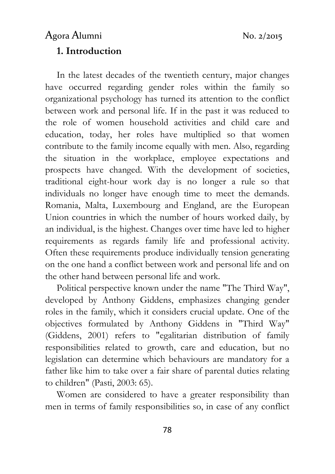# 1. Introduction

In the latest decades of the twentieth century, major changes have occurred regarding gender roles within the family so organizational psychology has turned its attention to the conflict between work and personal life. If in the past it was reduced to the role of women household activities and child care and education, today, her roles have multiplied so that women contribute to the family income equally with men. Also, regarding the situation in the workplace, employee expectations and prospects have changed. With the development of societies, traditional eight-hour work day is no longer a rule so that individuals no longer have enough time to meet the demands. Romania, Malta, Luxembourg and England, are the European Union countries in which the number of hours worked daily, by an individual, is the highest. Changes over time have led to higher requirements as regards family life and professional activity. Often these requirements produce individually tension generating on the one hand a conflict between work and personal life and on the other hand between personal life and work.

Political perspective known under the name "The Third Way", developed by Anthony Giddens, emphasizes changing gender roles in the family, which it considers crucial update. One of the objectives formulated by Anthony Giddens in "Third Way" (Giddens, 2001) refers to "egalitarian distribution of family responsibilities related to growth, care and education, but no legislation can determine which behaviours are mandatory for a father like him to take over a fair share of parental duties relating to children" (Pasti, 2003: 65).

Women are considered to have a greater responsibility than men in terms of family responsibilities so, in case of any conflict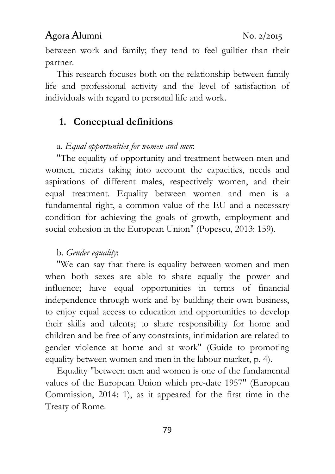between work and family; they tend to feel guiltier than their partner.

This research focuses both on the relationship between family life and professional activity and the level of satisfaction of individuals with regard to personal life and work.

#### 1. Conceptual definitions

#### a. Equal opportunities for women and men:

"The equality of opportunity and treatment between men and women, means taking into account the capacities, needs and aspirations of different males, respectively women, and their equal treatment. Equality between women and men is a fundamental right, a common value of the EU and a necessary condition for achieving the goals of growth, employment and social cohesion in the European Union" (Popescu, 2013: 159).

#### b. Gender equality:

"We can say that there is equality between women and men when both sexes are able to share equally the power and influence; have equal opportunities in terms of financial independence through work and by building their own business, to enjoy equal access to education and opportunities to develop their skills and talents; to share responsibility for home and children and be free of any constraints, intimidation are related to gender violence at home and at work" (Guide to promoting equality between women and men in the labour market, p. 4).

Equality "between men and women is one of the fundamental values of the European Union which pre-date 1957" (European Commission, 2014: 1), as it appeared for the first time in the Treaty of Rome.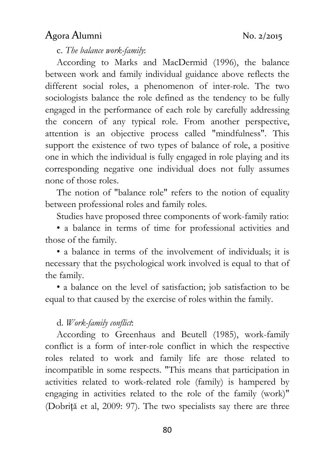c. The balance work-family:

According to Marks and MacDermid (1996), the balance between work and family individual guidance above reflects the different social roles, a phenomenon of inter-role. The two sociologists balance the role defined as the tendency to be fully engaged in the performance of each role by carefully addressing the concern of any typical role. From another perspective, attention is an objective process called "mindfulness". This support the existence of two types of balance of role, a positive one in which the individual is fully engaged in role playing and its corresponding negative one individual does not fully assumes none of those roles.

The notion of "balance role" refers to the notion of equality between professional roles and family roles.

Studies have proposed three components of work-family ratio:

• a balance in terms of time for professional activities and those of the family.

• a balance in terms of the involvement of individuals; it is necessary that the psychological work involved is equal to that of the family.

• a balance on the level of satisfaction; job satisfaction to be equal to that caused by the exercise of roles within the family.

#### d. Work-family conflict:

According to Greenhaus and Beutell (1985), work-family conflict is a form of inter-role conflict in which the respective roles related to work and family life are those related to incompatible in some respects. "This means that participation in activities related to work-related role (family) is hampered by engaging in activities related to the role of the family (work)" (Dobriță et al, 2009: 97). The two specialists say there are three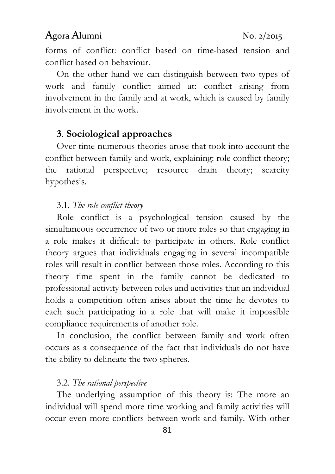forms of conflict: conflict based on time-based tension and conflict based on behaviour.

On the other hand we can distinguish between two types of work and family conflict aimed at: conflict arising from involvement in the family and at work, which is caused by family involvement in the work.

#### 3. Sociological approaches

Over time numerous theories arose that took into account the conflict between family and work, explaining: role conflict theory; the rational perspective; resource drain theory; scarcity hypothesis.

#### 3.1. The role conflict theory

Role conflict is a psychological tension caused by the simultaneous occurrence of two or more roles so that engaging in a role makes it difficult to participate in others. Role conflict theory argues that individuals engaging in several incompatible roles will result in conflict between those roles. According to this theory time spent in the family cannot be dedicated to professional activity between roles and activities that an individual holds a competition often arises about the time he devotes to each such participating in a role that will make it impossible compliance requirements of another role.

In conclusion, the conflict between family and work often occurs as a consequence of the fact that individuals do not have the ability to delineate the two spheres.

#### 3.2. The rational perspective

The underlying assumption of this theory is: The more an individual will spend more time working and family activities will occur even more conflicts between work and family. With other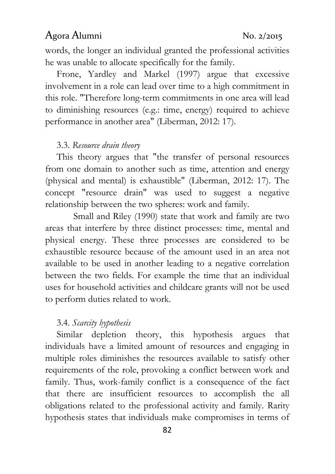words, the longer an individual granted the professional activities he was unable to allocate specifically for the family.

Frone, Yardley and Markel (1997) argue that excessive involvement in a role can lead over time to a high commitment in this role. "Therefore long-term commitments in one area will lead to diminishing resources (e.g.: time, energy) required to achieve performance in another area" (Liberman, 2012: 17).

#### 3.3. Resource drain theory

This theory argues that "the transfer of personal resources from one domain to another such as time, attention and energy (physical and mental) is exhaustible" (Liberman, 2012: 17). The concept "resource drain" was used to suggest a negative relationship between the two spheres: work and family.

 Small and Riley (1990) state that work and family are two areas that interfere by three distinct processes: time, mental and physical energy. These three processes are considered to be exhaustible resource because of the amount used in an area not available to be used in another leading to a negative correlation between the two fields. For example the time that an individual uses for household activities and childcare grants will not be used to perform duties related to work.

#### 3.4. Scarcity hypothesis

Similar depletion theory, this hypothesis argues that individuals have a limited amount of resources and engaging in multiple roles diminishes the resources available to satisfy other requirements of the role, provoking a conflict between work and family. Thus, work-family conflict is a consequence of the fact that there are insufficient resources to accomplish the all obligations related to the professional activity and family. Rarity hypothesis states that individuals make compromises in terms of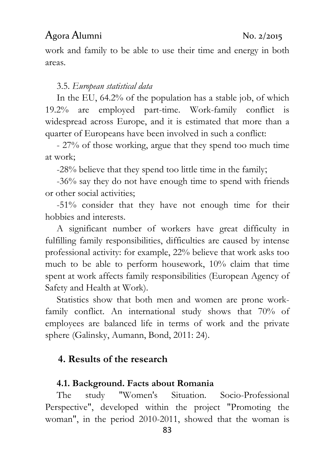work and family to be able to use their time and energy in both areas.

#### 3.5. European statistical data

In the EU, 64.2% of the population has a stable job, of which 19.2% are employed part-time. Work-family conflict is widespread across Europe, and it is estimated that more than a quarter of Europeans have been involved in such a conflict:

- 27% of those working, argue that they spend too much time at work;

-28% believe that they spend too little time in the family;

-36% say they do not have enough time to spend with friends or other social activities;

-51% consider that they have not enough time for their hobbies and interests.

A significant number of workers have great difficulty in fulfilling family responsibilities, difficulties are caused by intense professional activity: for example, 22% believe that work asks too much to be able to perform housework, 10% claim that time spent at work affects family responsibilities (European Agency of Safety and Health at Work).

Statistics show that both men and women are prone workfamily conflict. An international study shows that 70% of employees are balanced life in terms of work and the private sphere (Galinsky, Aumann, Bond, 2011: 24).

#### 4. Results of the research

#### 4.1. Background. Facts about Romania

The study "Women's Situation. Socio-Professional Perspective", developed within the project "Promoting the woman", in the period 2010-2011, showed that the woman is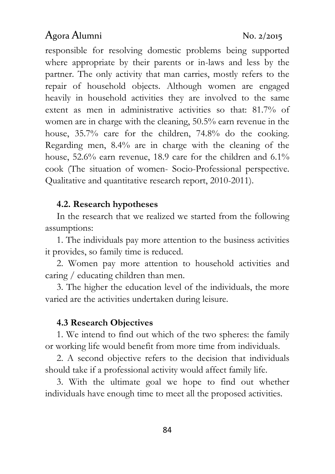responsible for resolving domestic problems being supported where appropriate by their parents or in-laws and less by the partner. The only activity that man carries, mostly refers to the repair of household objects. Although women are engaged heavily in household activities they are involved to the same extent as men in administrative activities so that: 81.7% of women are in charge with the cleaning, 50.5% earn revenue in the house, 35.7% care for the children, 74.8% do the cooking. Regarding men, 8.4% are in charge with the cleaning of the house, 52.6% earn revenue, 18.9 care for the children and 6.1% cook (The situation of women- Socio-Professional perspective. Qualitative and quantitative research report, 2010-2011).

#### 4.2. Research hypotheses

In the research that we realized we started from the following assumptions:

1. The individuals pay more attention to the business activities it provides, so family time is reduced.

2. Women pay more attention to household activities and caring / educating children than men.

3. The higher the education level of the individuals, the more varied are the activities undertaken during leisure.

#### 4.3 Research Objectives

1. We intend to find out which of the two spheres: the family or working life would benefit from more time from individuals.

2. A second objective refers to the decision that individuals should take if a professional activity would affect family life.

3. With the ultimate goal we hope to find out whether individuals have enough time to meet all the proposed activities.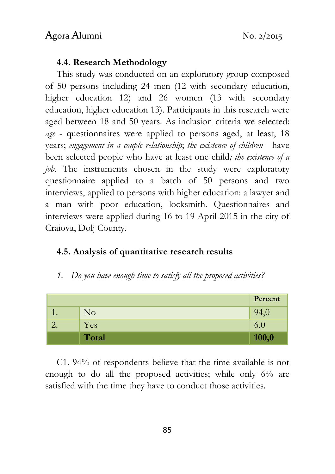#### 4.4. Research Methodology

This study was conducted on an exploratory group composed of 50 persons including 24 men (12 with secondary education, higher education 12) and 26 women (13 with secondary education, higher education 13). Participants in this research were aged between 18 and 50 years. As inclusion criteria we selected: age - questionnaires were applied to persons aged, at least, 18 years; engagement in a couple relationship; the existence of children- have been selected people who have at least one child; the existence of a job. The instruments chosen in the study were exploratory questionnaire applied to a batch of 50 persons and two interviews, applied to persons with higher education: a lawyer and a man with poor education, locksmith. Questionnaires and interviews were applied during 16 to 19 April 2015 in the city of Craiova, Dolj County.

#### 4.5. Analysis of quantitative research results

1. Do you have enough time to satisfy all the proposed activities?

|    |          | Percent |
|----|----------|---------|
| ı. | $\rm No$ | 94,0    |
|    | Yes      | 6,0     |
|    | Total    | 100,0   |

C1. 94% of respondents believe that the time available is not enough to do all the proposed activities; while only 6% are satisfied with the time they have to conduct those activities.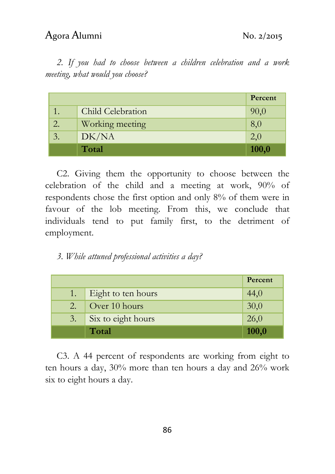2. If you had to choose between a children celebration and a work meeting, what would you choose?

|    |                   | Percent |
|----|-------------------|---------|
|    | Child Celebration | 90,0    |
| 2. | Working meeting   | 8,0     |
| 3. | DK/NA             | 2,0     |
|    | Total             | 100,0   |

C2. Giving them the opportunity to choose between the celebration of the child and a meeting at work, 90% of respondents chose the first option and only 8% of them were in favour of the lob meeting. From this, we conclude that individuals tend to put family first, to the detriment of employment.

#### 3. While attuned professional activities a day?

|     |                    | Percent |
|-----|--------------------|---------|
| 1.  | Eight to ten hours | 44,0    |
| 2.1 | Over 10 hours      | 30,0    |
| 3.  | Six to eight hours | 26,0    |
|     | Total              | 100,0   |

C3. A 44 percent of respondents are working from eight to ten hours a day, 30% more than ten hours a day and 26% work six to eight hours a day.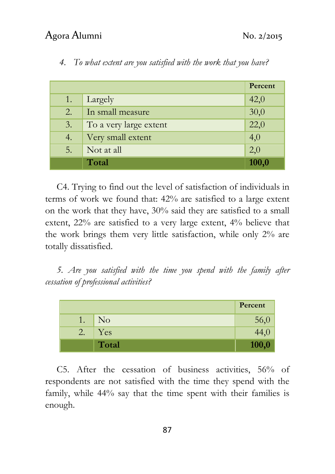|    |                        | Percent           |
|----|------------------------|-------------------|
| 1. | Largely                | 42,0              |
| 2. | In small measure       | 30,0              |
| 3. | To a very large extent | $\overline{22,0}$ |
| 4. | Very small extent      | 4,0               |
| 5. | Not at all             | 2,0               |
|    | Total                  | 100,0             |

4. To what extent are you satisfied with the work that you have?

C4. Trying to find out the level of satisfaction of individuals in terms of work we found that: 42% are satisfied to a large extent on the work that they have, 30% said they are satisfied to a small extent, 22% are satisfied to a very large extent, 4% believe that the work brings them very little satisfaction, while only 2% are totally dissatisfied.

5. Are you satisfied with the time you spend with the family after cessation of professional activities?

|    |                | Percent |
|----|----------------|---------|
| 1. | N <sub>o</sub> | 56,0    |
| 2. | Yes            | 44,0    |
|    | Total          | 100,0   |

C5. After the cessation of business activities, 56% of respondents are not satisfied with the time they spend with the family, while 44% say that the time spent with their families is enough.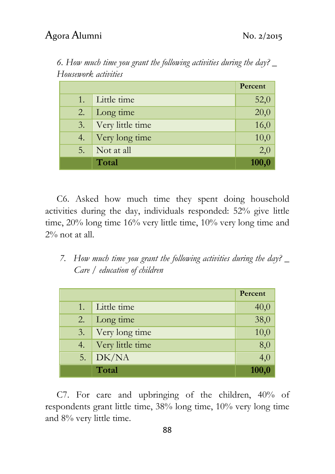| $10030W$ . we we have |                  |                   |
|-----------------------|------------------|-------------------|
|                       |                  | Percent           |
| 1.                    | Little time      | 52,0              |
| 2.                    | Long time        | $\overline{20,0}$ |
| 3.                    | Very little time | 16,0              |
| 4.                    | Very long time   | 10,0              |
| 5.                    | Not at all       | 2,0               |
|                       | Total            | 100,0             |

6. How much time you grant the following activities during the day? \_ Housework activities

C6. Asked how much time they spent doing household activities during the day, individuals responded: 52% give little time, 20% long time 16% very little time, 10% very long time and 2% not at all.

7. How much time you grant the following activities during the day?  $\overline{\phantom{a}}$ Care / education of children

|    |                  | Percent             |
|----|------------------|---------------------|
| 1. | Little time      | 40,0                |
| 2. | Long time        | $\frac{38,0}{ }$    |
| 3. | Very long time   | $\frac{10,0}{10,0}$ |
| 4. | Very little time | 8,0                 |
| 5. | DK/NA            | 4,0                 |
|    | Total            | 100,0               |

C7. For care and upbringing of the children, 40% of respondents grant little time, 38% long time, 10% very long time and 8% very little time.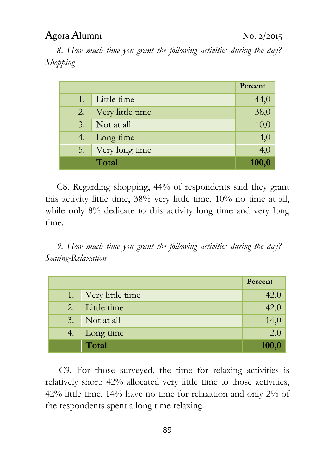8. How much time you grant the following activities during the day? Shopping

|    |                  | Percent          |
|----|------------------|------------------|
| 1. | Little time      | 44,0             |
| 2. | Very little time | 38,0             |
| 3. | Not at all       | 10,0             |
| 4. | Long time        | $\overline{4,0}$ |
| 5. | Very long time   | 4,0              |
|    | Total            | 100,0            |

C8. Regarding shopping, 44% of respondents said they grant this activity little time, 38% very little time, 10% no time at all, while only 8% dedicate to this activity long time and very long time.

9. How much time you grant the following activities during the day?  $\overline{\phantom{a}}$ Seating-Relaxation

|     |                  | Percent           |
|-----|------------------|-------------------|
| 1.  | Very little time | 42,0              |
| 2.7 | Little time      | $\overline{42,0}$ |
| 3.  | Not at all       | $\frac{14,0}{ }$  |
| 4.  | Long time        | 2,0               |
|     | Total            | 100,0             |

 C9. For those surveyed, the time for relaxing activities is relatively short: 42% allocated very little time to those activities, 42% little time, 14% have no time for relaxation and only 2% of the respondents spent a long time relaxing.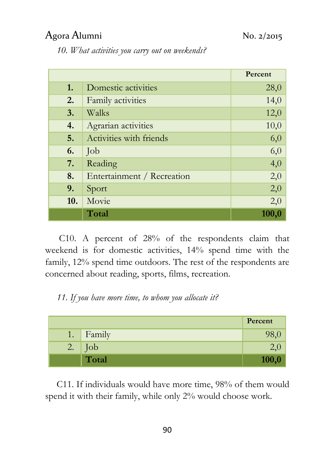10. What activities you carry out on weekends?

|     |                            | Percent |
|-----|----------------------------|---------|
| 1.  | Domestic activities        | 28,0    |
| 2.  | Family activities          | 14,0    |
| 3.  | Walks                      | 12,0    |
| 4.  | Agrarian activities        | 10,0    |
| 5.  | Activities with friends    | 6,0     |
| 6.  | Job                        | 6,0     |
| 7.  | Reading                    | 4,0     |
| 8.  | Entertainment / Recreation | 2,0     |
| 9.  | Sport                      | 2,0     |
| 10. | Movie                      | 2,0     |
|     | Total                      | 100,0   |

 C10. A percent of 28% of the respondents claim that weekend is for domestic activities, 14% spend time with the family, 12% spend time outdoors. The rest of the respondents are concerned about reading, sports, films, recreation.

11. If you have more time, to whom you allocate it?

|    |                   | Percent |
|----|-------------------|---------|
|    | 1. $\vert$ Family | 98,0    |
| 2. | $\vert$ Job       | Z,U     |
|    | Total             | 100,0   |

C11. If individuals would have more time, 98% of them would spend it with their family, while only 2% would choose work.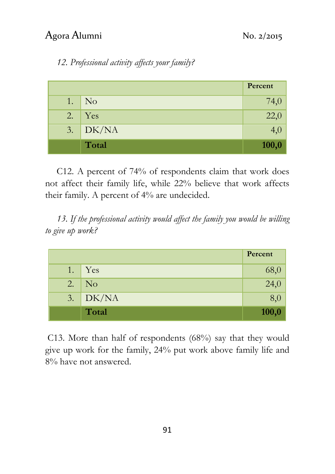# 12. Professional activity affects your family?

|    |                             | Percent |
|----|-----------------------------|---------|
| 1. | $\overline{\phantom{a}}$ No | 74,0    |
| 2. | $\vert$ Yes                 | 22,0    |
| 3. | DK/NA                       | 4,0     |
|    | Total                       | 100,0   |

C12. A percent of 74% of respondents claim that work does not affect their family life, while 22% believe that work affects their family. A percent of 4% are undecided.

13. If the professional activity would affect the family you would be willing to give up work?

|    |                              | Percent |
|----|------------------------------|---------|
| 1. | Yes                          | 68,0    |
| 2. | $\overline{N_{O}}$           | 24,0    |
| 3. | $\overline{\rm D}{\rm K/NA}$ | 8,0     |
|    | Total                        | 100,0   |

 C13. More than half of respondents (68%) say that they would give up work for the family, 24% put work above family life and 8% have not answered.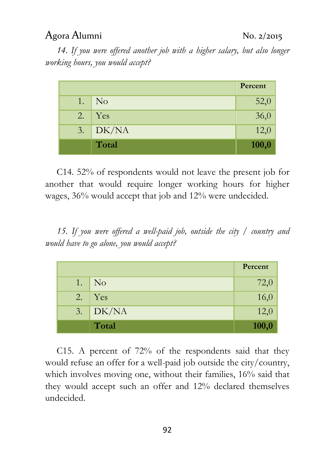14. If you were offered another job with a higher salary, but also longer working hours, you would accept?

|     |                             | Percent |
|-----|-----------------------------|---------|
| 1.  | $\overline{\phantom{a}}$ No | 52,0    |
| 2.1 | Yes                         | 36,0    |
| 3.1 | $\overline{D K/N}$          | 12,0    |
|     | Total                       | 100,0   |

C14. 52% of respondents would not leave the present job for another that would require longer working hours for higher wages, 36% would accept that job and 12% were undecided.

15. If you were offered a well-paid job, outside the city / country and would have to go alone, you would accept?

|    |                             | Percent |
|----|-----------------------------|---------|
| 1. | $\overline{\phantom{a}}$ No | 72,0    |
| 2. | $\vert$ Yes                 | 16,0    |
|    | $3.$ DK/NA                  | 12,0    |
|    | Total                       | 100,0   |

C15. A percent of 72% of the respondents said that they would refuse an offer for a well-paid job outside the city/country, which involves moving one, without their families, 16% said that they would accept such an offer and 12% declared themselves undecided.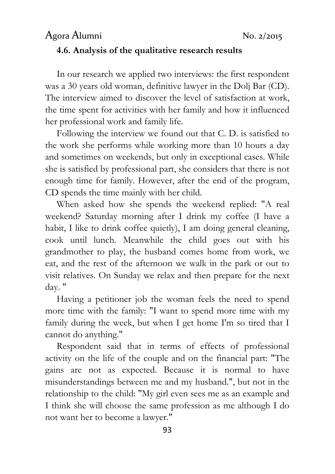# Agora Alumni No. 2/2015 4.6. Analysis of the qualitative research results

In our research we applied two interviews: the first respondent was a 30 years old woman, definitive lawyer in the Dolj Bar (CD). The interview aimed to discover the level of satisfaction at work, the time spent for activities with her family and how it influenced her professional work and family life.

Following the interview we found out that C. D. is satisfied to the work she performs while working more than 10 hours a day and sometimes on weekends, but only in exceptional cases. While she is satisfied by professional part, she considers that there is not enough time for family. However, after the end of the program, CD spends the time mainly with her child.

When asked how she spends the weekend replied: "A real weekend? Saturday morning after I drink my coffee (I have a habit, I like to drink coffee quietly), I am doing general cleaning, cook until lunch. Meanwhile the child goes out with his grandmother to play, the husband comes home from work, we eat, and the rest of the afternoon we walk in the park or out to visit relatives. On Sunday we relax and then prepare for the next day. "

Having a petitioner job the woman feels the need to spend more time with the family: "I want to spend more time with my family during the week, but when I get home I'm so tired that I cannot do anything."

Respondent said that in terms of effects of professional activity on the life of the couple and on the financial part: "The gains are not as expected. Because it is normal to have misunderstandings between me and my husband.", but not in the relationship to the child: "My girl even sees me as an example and I think she will choose the same profession as me although I do not want her to become a lawyer."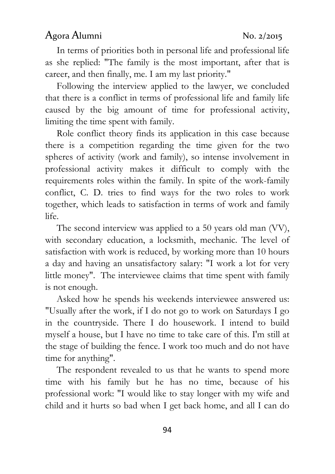In terms of priorities both in personal life and professional life as she replied: "The family is the most important, after that is career, and then finally, me. I am my last priority."

Following the interview applied to the lawyer, we concluded that there is a conflict in terms of professional life and family life caused by the big amount of time for professional activity, limiting the time spent with family.

Role conflict theory finds its application in this case because there is a competition regarding the time given for the two spheres of activity (work and family), so intense involvement in professional activity makes it difficult to comply with the requirements roles within the family. In spite of the work-family conflict, C. D. tries to find ways for the two roles to work together, which leads to satisfaction in terms of work and family life.

The second interview was applied to a 50 years old man (VV), with secondary education, a locksmith, mechanic. The level of satisfaction with work is reduced, by working more than 10 hours a day and having an unsatisfactory salary: "I work a lot for very little money". The interviewee claims that time spent with family is not enough.

Asked how he spends his weekends interviewee answered us: "Usually after the work, if I do not go to work on Saturdays I go in the countryside. There I do housework. I intend to build myself a house, but I have no time to take care of this. I'm still at the stage of building the fence. I work too much and do not have time for anything".

The respondent revealed to us that he wants to spend more time with his family but he has no time, because of his professional work: "I would like to stay longer with my wife and child and it hurts so bad when I get back home, and all I can do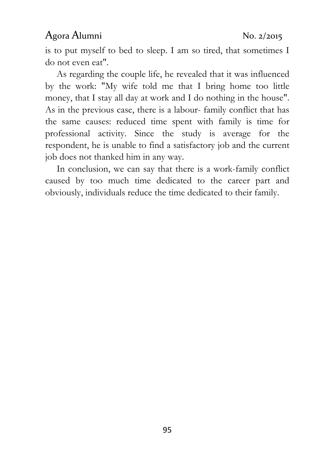is to put myself to bed to sleep. I am so tired, that sometimes I do not even eat".

As regarding the couple life, he revealed that it was influenced by the work: "My wife told me that I bring home too little money, that I stay all day at work and I do nothing in the house". As in the previous case, there is a labour- family conflict that has the same causes: reduced time spent with family is time for professional activity. Since the study is average for the respondent, he is unable to find a satisfactory job and the current job does not thanked him in any way.

In conclusion, we can say that there is a work-family conflict caused by too much time dedicated to the career part and obviously, individuals reduce the time dedicated to their family.